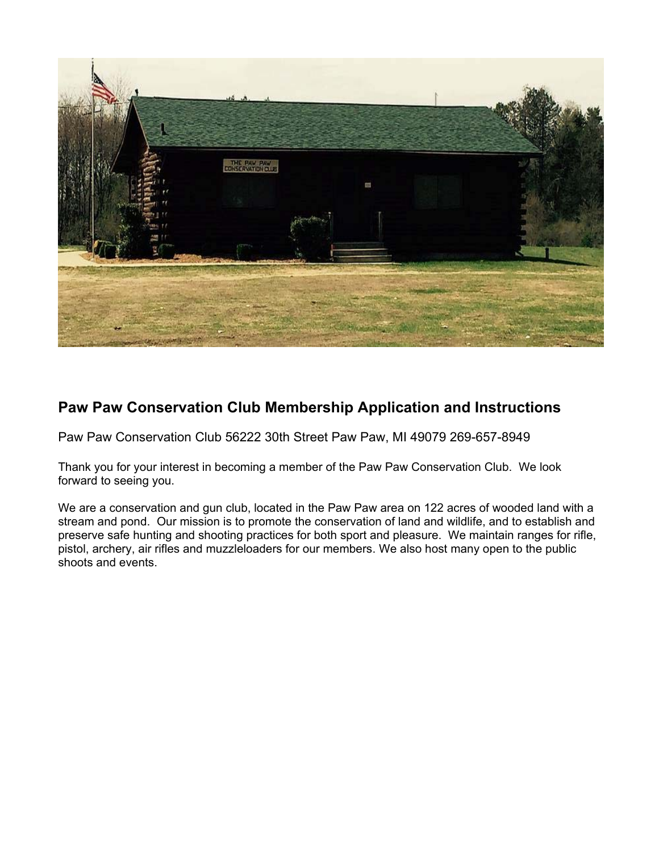

# **Paw Paw Conservation Club Membership Application and Instructions**

Paw Paw Conservation Club 56222 30th Street Paw Paw, MI 49079 269-657-8949

Thank you for your interest in becoming a member of the Paw Paw Conservation Club. We look forward to seeing you.

We are a conservation and gun club, located in the Paw Paw area on 122 acres of wooded land with a stream and pond. Our mission is to promote the conservation of land and wildlife, and to establish and preserve safe hunting and shooting practices for both sport and pleasure. We maintain ranges for rifle, pistol, archery, air rifles and muzzleloaders for our members. We also host many open to the public shoots and events.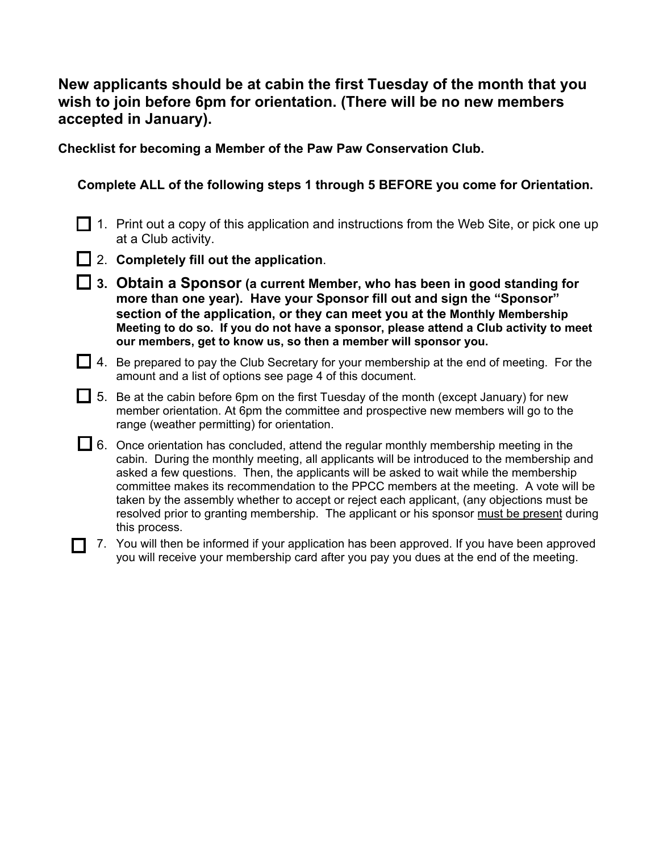## **New applicants should be at cabin the first Tuesday of the month that you wish to join before 6pm for orientation. (There will be no new members accepted in January).**

**Checklist for becoming a Member of the Paw Paw Conservation Club.** 

**Complete ALL of the following steps 1 through 5 BEFORE you come for Orientation.** 

- $\Box$  1. Print out a copy of this application and instructions from the Web Site, or pick one up at a Club activity.
- 2. **Completely fill out the application**.
- **3. Obtain a Sponsor (a current Member, who has been in good standing for more than one year). Have your Sponsor fill out and sign the "Sponsor" section of the application, or they can meet you at the Monthly Membership Meeting to do so. If you do not have a sponsor, please attend a Club activity to meet our members, get to know us, so then a member will sponsor you.**
- $\Box$  4. Be prepared to pay the Club Secretary for your membership at the end of meeting. For the amount and a list of options see page 4 of this document.
- $\Box$  5. Be at the cabin before 6pm on the first Tuesday of the month (except January) for new member orientation. At 6pm the committee and prospective new members will go to the range (weather permitting) for orientation.
- $\Box$  6. Once orientation has concluded, attend the regular monthly membership meeting in the cabin. During the monthly meeting, all applicants will be introduced to the membership and asked a few questions. Then, the applicants will be asked to wait while the membership committee makes its recommendation to the PPCC members at the meeting. A vote will be taken by the assembly whether to accept or reject each applicant, (any objections must be resolved prior to granting membership. The applicant or his sponsor must be present during this process.
- $\Box$  7. You will then be informed if your application has been approved. If you have been approved you will receive your membership card after you pay you dues at the end of the meeting.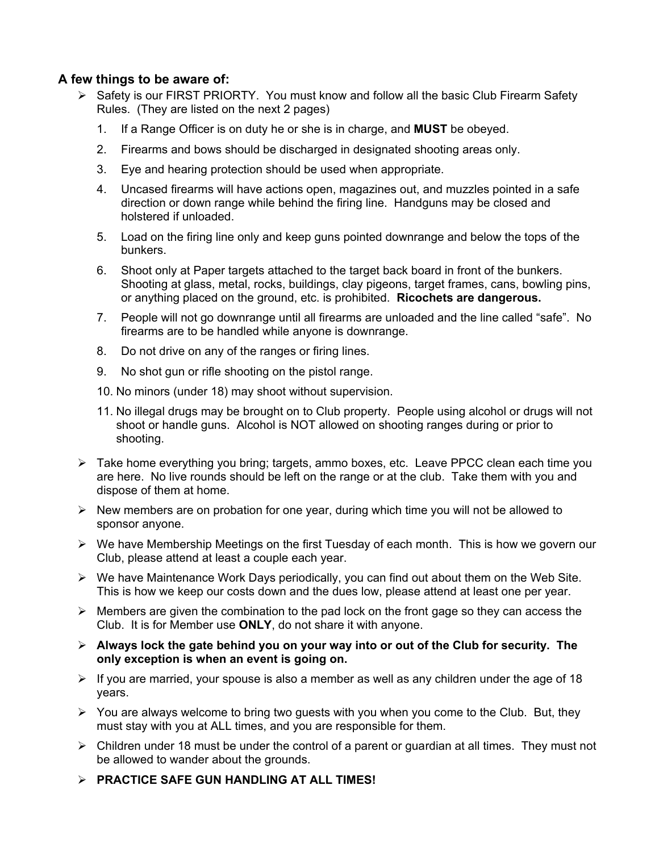## **A few things to be aware of:**

- $\triangleright$  Safety is our FIRST PRIORTY. You must know and follow all the basic Club Firearm Safety Rules. (They are listed on the next 2 pages)
	- 1. If a Range Officer is on duty he or she is in charge, and **MUST** be obeyed.
	- 2. Firearms and bows should be discharged in designated shooting areas only.
	- 3. Eye and hearing protection should be used when appropriate.
	- 4. Uncased firearms will have actions open, magazines out, and muzzles pointed in a safe direction or down range while behind the firing line. Handguns may be closed and holstered if unloaded.
	- 5. Load on the firing line only and keep guns pointed downrange and below the tops of the bunkers.
	- 6. Shoot only at Paper targets attached to the target back board in front of the bunkers. Shooting at glass, metal, rocks, buildings, clay pigeons, target frames, cans, bowling pins, or anything placed on the ground, etc. is prohibited. **Ricochets are dangerous.**
	- 7. People will not go downrange until all firearms are unloaded and the line called "safe". No firearms are to be handled while anyone is downrange.
	- 8. Do not drive on any of the ranges or firing lines.
	- 9. No shot gun or rifle shooting on the pistol range.
	- 10. No minors (under 18) may shoot without supervision.
	- 11. No illegal drugs may be brought on to Club property. People using alcohol or drugs will not shoot or handle guns. Alcohol is NOT allowed on shooting ranges during or prior to shooting.
- ¾ Take home everything you bring; targets, ammo boxes, etc. Leave PPCC clean each time you are here. No live rounds should be left on the range or at the club. Take them with you and dispose of them at home.
- $\triangleright$  New members are on probation for one year, during which time you will not be allowed to sponsor anyone.
- ¾ We have Membership Meetings on the first Tuesday of each month. This is how we govern our Club, please attend at least a couple each year.
- ¾ We have Maintenance Work Days periodically, you can find out about them on the Web Site. This is how we keep our costs down and the dues low, please attend at least one per year.
- $\triangleright$  Members are given the combination to the pad lock on the front gage so they can access the Club. It is for Member use **ONLY**, do not share it with anyone.
- ¾ **Always lock the gate behind you on your way into or out of the Club for security. The only exception is when an event is going on.**
- $\triangleright$  If you are married, your spouse is also a member as well as any children under the age of 18 years.
- $\triangleright$  You are always welcome to bring two guests with you when you come to the Club. But, they must stay with you at ALL times, and you are responsible for them.
- $\triangleright$  Children under 18 must be under the control of a parent or guardian at all times. They must not be allowed to wander about the grounds.
- ¾ **PRACTICE SAFE GUN HANDLING AT ALL TIMES!**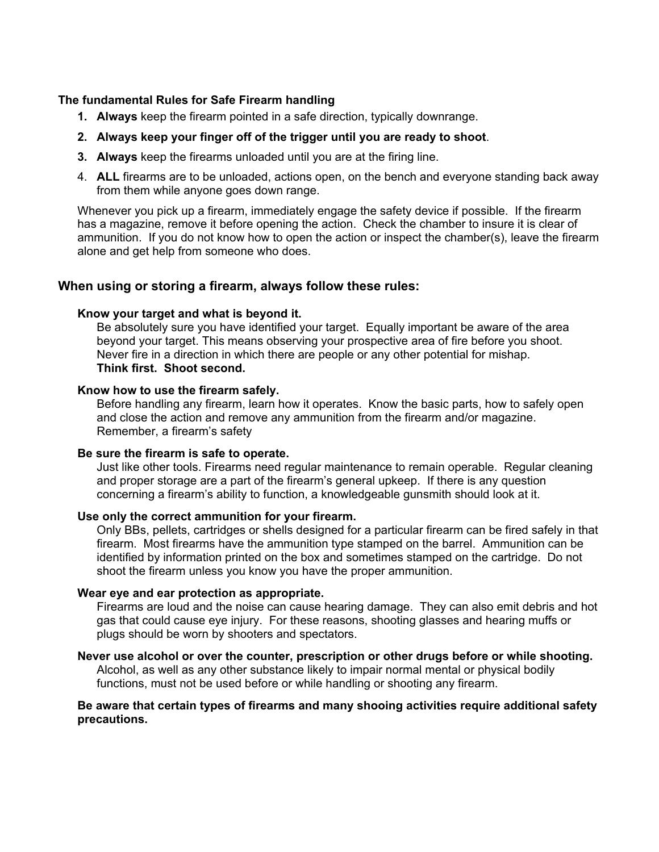### **The fundamental Rules for Safe Firearm handling**

- **1. Always** keep the firearm pointed in a safe direction, typically downrange.
- **2. Always keep your finger off of the trigger until you are ready to shoot**.
- **3. Always** keep the firearms unloaded until you are at the firing line.
- 4. **ALL** firearms are to be unloaded, actions open, on the bench and everyone standing back away from them while anyone goes down range.

Whenever you pick up a firearm, immediately engage the safety device if possible. If the firearm has a magazine, remove it before opening the action. Check the chamber to insure it is clear of ammunition. If you do not know how to open the action or inspect the chamber(s), leave the firearm alone and get help from someone who does.

### **When using or storing a firearm, always follow these rules:**

### **Know your target and what is beyond it.**

Be absolutely sure you have identified your target. Equally important be aware of the area beyond your target. This means observing your prospective area of fire before you shoot. Never fire in a direction in which there are people or any other potential for mishap. **Think first. Shoot second.** 

### **Know how to use the firearm safely.**

Before handling any firearm, learn how it operates. Know the basic parts, how to safely open and close the action and remove any ammunition from the firearm and/or magazine. Remember, a firearm's safety

### **Be sure the firearm is safe to operate.**

Just like other tools. Firearms need regular maintenance to remain operable. Regular cleaning and proper storage are a part of the firearm's general upkeep. If there is any question concerning a firearm's ability to function, a knowledgeable gunsmith should look at it.

### **Use only the correct ammunition for your firearm.**

Only BBs, pellets, cartridges or shells designed for a particular firearm can be fired safely in that firearm. Most firearms have the ammunition type stamped on the barrel. Ammunition can be identified by information printed on the box and sometimes stamped on the cartridge. Do not shoot the firearm unless you know you have the proper ammunition.

### **Wear eye and ear protection as appropriate.**

Firearms are loud and the noise can cause hearing damage. They can also emit debris and hot gas that could cause eye injury. For these reasons, shooting glasses and hearing muffs or plugs should be worn by shooters and spectators.

### **Never use alcohol or over the counter, prescription or other drugs before or while shooting.**

Alcohol, as well as any other substance likely to impair normal mental or physical bodily functions, must not be used before or while handling or shooting any firearm.

### **Be aware that certain types of firearms and many shooing activities require additional safety precautions.**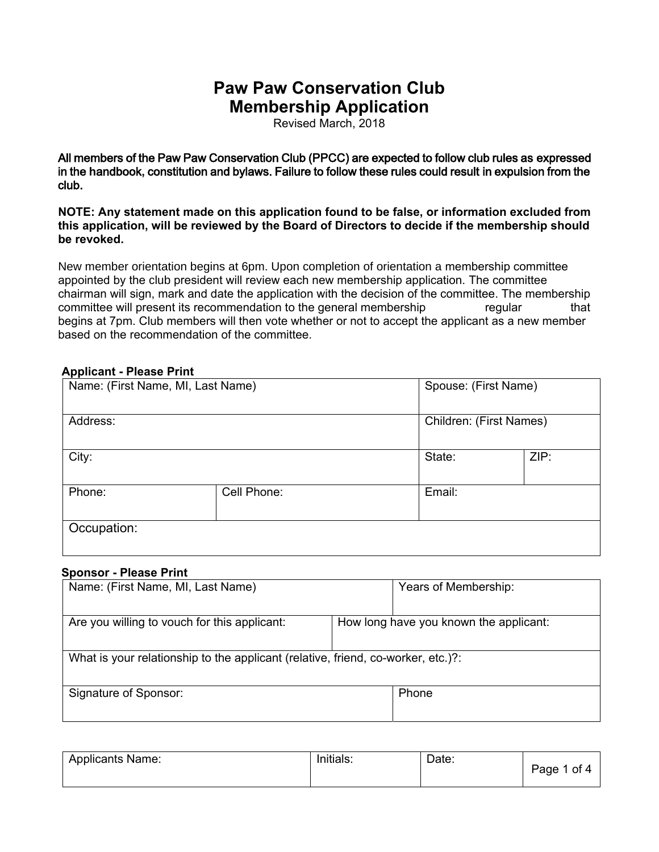Revised March, 2018

All members of the Paw Paw Conservation Club (PPCC) are expected to follow club rules as expressed in the **h**andbook**,** constitution and bylaws. Failure to follow these rules could result in expulsion from the club.

**NOTE: Any statement made on this application found to be false, or information excluded from this application, will be reviewed by the Board of Directors to decide if the membership should be revoked.** 

1HALAPHPEHURULHQWDRAGHDRAMAGHDRAMAGHDRAMAGHDRAMAGHDRAMAGHDRAMAGHDRAMAGHDRAMAGHDRAMAGHDRAMAGHDRAMAGHDRAMAGHDRAMAGHDRAMAGHDRAMAGHDRAMAGHDRAMAGHDRAMAGHDRAMAGHDRAMAGHDRAMAGHDRAMAGHDRAMAGHDRAMAGHDRAMAGHDRAMAGHDRAMAGHDRAMAGHDRA appointed by the  $\&$ ] alpresident will review each new membership application. The committee chairman will sign, mark and date the application with the decision of the committee. The membership committee will present its recommendation to the general membership during the regular meeting that begins at 7pm. Club members will then vote whether or not to accept the applicant as a new member based on the recommendation of the committee.

| Name: (First Name, MI, Last Name) |                       |                         | Spouse: (First Name) |  |
|-----------------------------------|-----------------------|-------------------------|----------------------|--|
| Address:                          |                       | Children: (First Names) |                      |  |
| City:                             |                       | State:                  | ZIP:                 |  |
| Phone:                            | Cell Phone:<br>Email: |                         |                      |  |
| Occupation:                       |                       |                         |                      |  |

### **Applicant - Please Print**

#### **Sponsor - Please Print**

| Name: (First Name, MI, Last Name)                                                | Years of Membership:                   |  |
|----------------------------------------------------------------------------------|----------------------------------------|--|
| Are you willing to vouch for this applicant:                                     | How long have you known the applicant: |  |
| What is your relationship to the applicant (relative, friend, co-worker, etc.)?: |                                        |  |
| Signature of Sponsor:                                                            | Phone                                  |  |

| <b>Applicants Name:</b> | Initials: | Date: | Page 1 of 4 |
|-------------------------|-----------|-------|-------------|
|-------------------------|-----------|-------|-------------|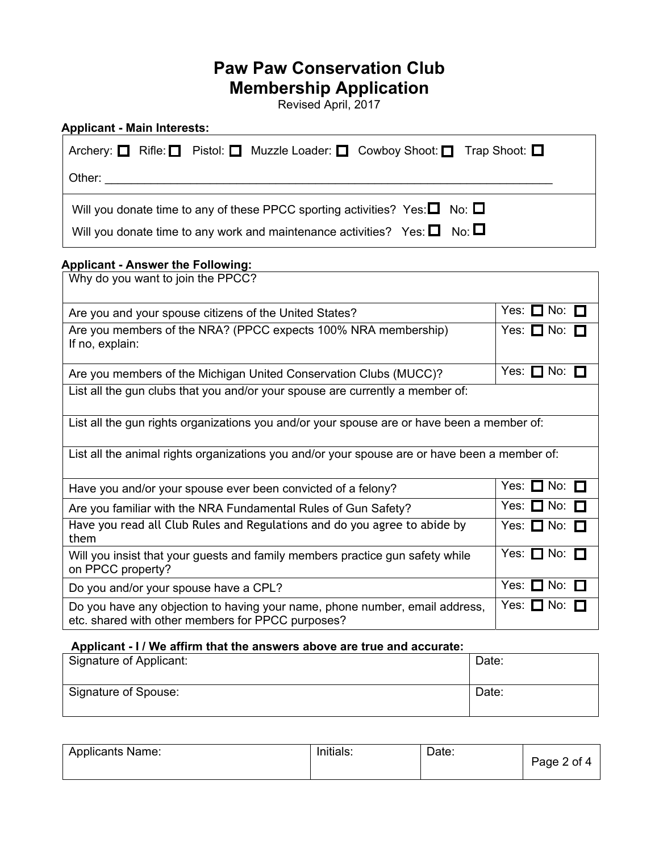Revised April, 2017

| Archery: $\Box$ Rifle: $\Box$<br>Pistol: □ Muzzle Loader: □ Cowboy Shoot: □ Trap Shoot: □                                        |                        |
|----------------------------------------------------------------------------------------------------------------------------------|------------------------|
| Other:                                                                                                                           |                        |
| Will you donate time to any of these PPCC sporting activities? Yes: $\Box$ No: $\Box$                                            |                        |
| No: $\square$<br>Will you donate time to any work and maintenance activities? Yes: $\Box$                                        |                        |
| <b>Applicant - Answer the Following:</b>                                                                                         |                        |
| Why do you want to join the PPCC?                                                                                                |                        |
| Are you and your spouse citizens of the United States?                                                                           | Yes: $\Box$ No: $\Box$ |
| Are you members of the NRA? (PPCC expects 100% NRA membership)<br>If no, explain:                                                | Yes: $\Box$ No: $\Box$ |
| Are you members of the Michigan United Conservation Clubs (MUCC)?                                                                | Yes: $\Box$ No: $\Box$ |
| List all the gun clubs that you and/or your spouse are currently a member of:                                                    |                        |
| List all the gun rights organizations you and/or your spouse are or have been a member of:                                       |                        |
| List all the animal rights organizations you and/or your spouse are or have been a member of:                                    |                        |
| Have you and/or your spouse ever been convicted of a felony?                                                                     | Yes: $\Box$ No: $\Box$ |
| Are you familiar with the NRA Fundamental Rules of Gun Safety?                                                                   | Yes: $\Box$ No:        |
| Have you read all Club Rules and Regulations and do you agree to abide by<br>them                                                | Yes: $\Box$ No: $\Box$ |
| Will you insist that your guests and family members practice gun safety while<br>on PPCC property?                               | Yes: $\Box$ No: $\Box$ |
| Do you and/or your spouse have a CPL?                                                                                            | Yes: $\Box$ No: $\Box$ |
| Do you have any objection to having your name, phone number, email address,<br>etc. shared with other members for PPCC purposes? | Yes: $\Box$ No: $\Box$ |
| Applicant - I / We affirm that the answers above are true and accurate:                                                          |                        |

| Signature of Applicant: | Date: |
|-------------------------|-------|
| Signature of Spouse:    | Date: |

| <b>Applicants Name:</b> | Initials: | Date: | Page 2 of 4 |
|-------------------------|-----------|-------|-------------|
|-------------------------|-----------|-------|-------------|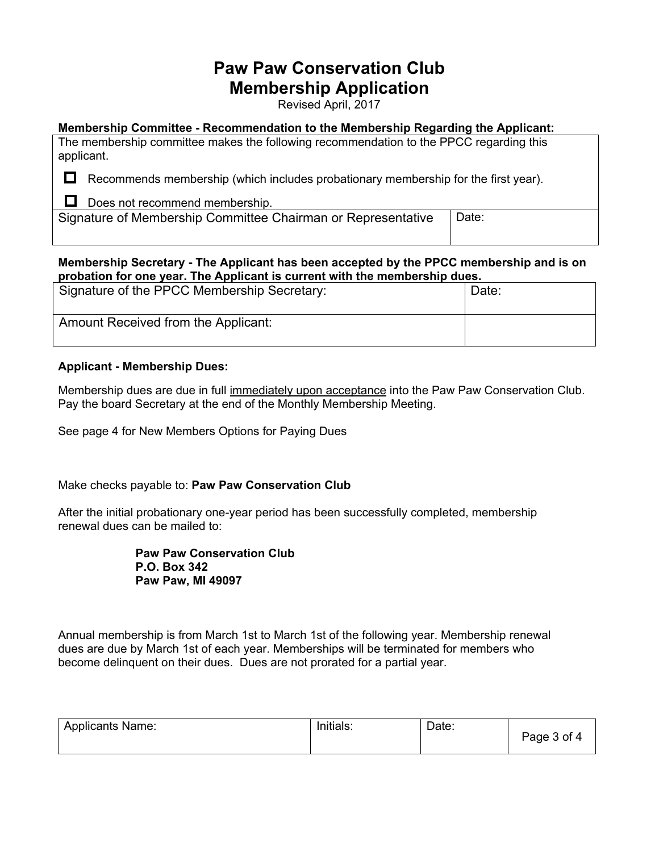Revised April, 2017

### **Membership Committee - Recommendation to the Membership Regarding the Applicant:**

The membership committee makes the following recommendation to the PPCC regarding this applicant.

 $\Box$  Recommends membership (which includes probationary membership for the first year).

 $\Box$  Does not recommend membership.

Signature of Membership Committee Chairman or Representative | Date:

### **Membership Secretary - The Applicant has been accepted by the PPCC membership and is on probation for one year. The Applicant is current with the membership dues.**

| Signature of the PPCC Membership Secretary: | Date: |
|---------------------------------------------|-------|
| Amount Received from the Applicant:         |       |

### **Applicant - Membership Dues:**

Membership dues are due in full immediately upon acceptance into the Paw Paw Conservation Club. Pay the board Secretary at the end of the Monthly Membership Meeting.

See page 4 for New Members Options for Paying Dues

Make checks payable to: **Paw Paw Conservation Club** 

After the initial probationary one-year period has been successfully completed, membership renewal dues can be mailed to:

> **Paw Paw Conservation Club P.O. Box 342 Paw Paw, MI 49097**

Annual membership is from March 1st to March 1st of the following year. Membership renewal dues are due by March 1st of each year. Memberships will be terminated for members who become delinquent on their dues. Dues are not prorated for a partial year.

| <b>Applicants Name:</b> | Initials <sup>®</sup> | Date. | Page 3 of 4 |
|-------------------------|-----------------------|-------|-------------|
|                         |                       |       |             |